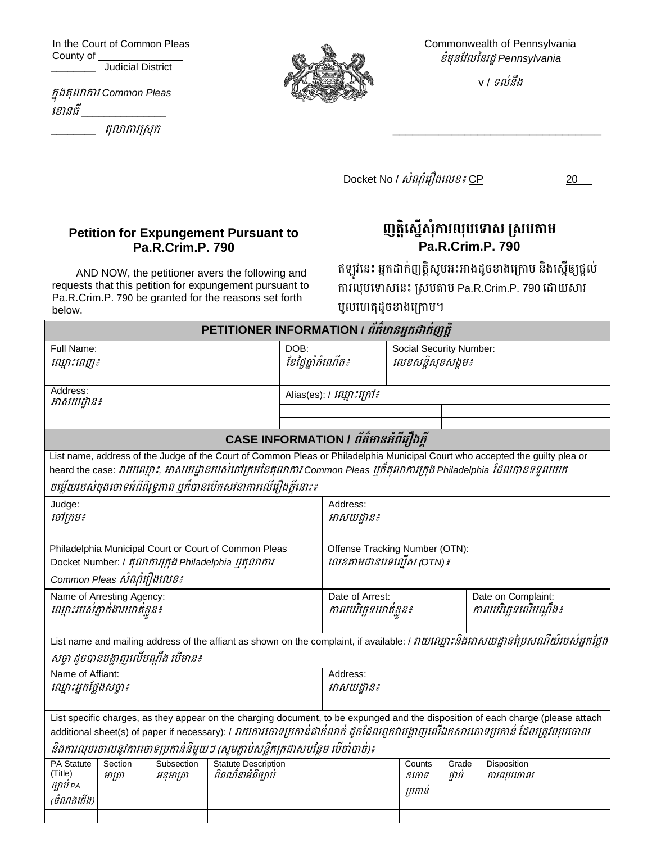In the Court of Common Pleas County of \_\_\_\_\_\_\_\_ Judicial District

ក្នុងតុលាការ *Common Pleas*  ខ ានធី\_\_\_\_\_\_\_\_\_\_\_\_\_\_\_

\_\_\_\_\_\_\_\_ តុលាការស្រុក្



Commonwealth of Pennsylvania ខំមុនវែលននរដ្ឋ *Pennsylvania*

v / ទល់នឹង

\_\_\_\_\_\_\_\_\_\_\_\_\_\_\_\_\_\_\_\_\_\_\_\_\_\_\_\_\_\_\_\_

Docket No /  $\delta i$ ណ ំរឿងលេខ៖ CP 20

## **Petition for Expungement Pursuant to Pa.R.Crim.P. 790**

AND NOW, the petitioner avers the following and requests that this petition for expungement pursuant to Pa.R.Crim.P. 790 be granted for the reasons set forth below.

ញត្តិស្នើសុំការលុបទោស ស្របតាម **Pa.R.Crim.P. 790**

ឥឡូវនេះ អ្នកដាក់ញត្តិសូមអះអាងដូចខាងក្រោម និងស្នើឲ្យផ្ដល់ ការលុបទោសនេះ ស្របតាម Pa.R.Crim.P. 790 ដោយសារ មូលហេតុដូចខាងក្រោម។

| PETITIONER INFORMATION / ព័ត៌មានអ្នកដាក់ញត្តិ                                                                                                                                                                                                                                                                                               |                                       |                                                                           |                         |                 |                                              |             |  |  |  |
|---------------------------------------------------------------------------------------------------------------------------------------------------------------------------------------------------------------------------------------------------------------------------------------------------------------------------------------------|---------------------------------------|---------------------------------------------------------------------------|-------------------------|-----------------|----------------------------------------------|-------------|--|--|--|
| Full Name:<br>ណ្នោះពេញ៖                                                                                                                                                                                                                                                                                                                     |                                       | DOB:<br>ខែថ្ងៃឆ្នាំកំណើត៖                                                 |                         |                 | Social Security Number:<br>លេខសន្តិសុខសង្គម៖ |             |  |  |  |
| Address:<br>អាសយដ្ឋាន៖                                                                                                                                                                                                                                                                                                                      |                                       |                                                                           | Alias(es): / រណ្ឌះក្រៅ៖ |                 |                                              |             |  |  |  |
|                                                                                                                                                                                                                                                                                                                                             |                                       |                                                                           |                         |                 |                                              |             |  |  |  |
|                                                                                                                                                                                                                                                                                                                                             | CASE INFORMATION / ព័ត៌មានអំពីរឿងក្តី |                                                                           |                         |                 |                                              |             |  |  |  |
| List name, address of the Judge of the Court of Common Pleas or Philadelphia Municipal Court who accepted the guilty plea or<br>heard the case: វាយឈ្មោះ, អាសយដ្ឋានរបស់់ចៅក្រមនៃតុលាការ Common Pleas ឬក៏តុលាការក្រុង Philadelphia ដែលបានទទួលយក<br>ចម្លើយរបស់ចុងចោទអំពីពិរុទ្ធភាព បុក៏បានបើកសវនាការលើរឿងក្តីនោះ៖                             |                                       |                                                                           |                         |                 |                                              |             |  |  |  |
| Judge:<br>ថៅក្រម៖                                                                                                                                                                                                                                                                                                                           |                                       | Address:<br>អាសយដ្ឋាន៖                                                    |                         |                 |                                              |             |  |  |  |
| Philadelphia Municipal Court or Court of Common Pleas<br>Docket Number: / តុលាការក្រុង Philadelphia ប៊ុតុលាការ                                                                                                                                                                                                                              |                                       | Offense Tracking Number (OTN):<br><i>លេខតាមដានបទល្មើស (</i> OTN) <i>៖</i> |                         |                 |                                              |             |  |  |  |
| Common Pleas សំណុំរឿងលេខ៖<br>Name of Arresting Agency:                                                                                                                                                                                                                                                                                      |                                       | Date on Complaint:<br>Date of Arrest:                                     |                         |                 |                                              |             |  |  |  |
| ឈ្មោះរបស់គ្នាក់ងារឃាត់ខ្លួន៖                                                                                                                                                                                                                                                                                                                |                                       | កាលបរិច្ឆេទឃាត់ខ្លួន៖                                                     |                         |                 | កាលបរិច្ឆេទលើបណ្តឹង៖                         |             |  |  |  |
| List name and mailing address of the affiant as shown on the complaint, if available: / វាយណ្មោះនិងអាសយដ្ឋានវៃប្រសពរាយ៍របស់អ្នកថ្លែង                                                                                                                                                                                                        |                                       |                                                                           |                         |                 |                                              |             |  |  |  |
| សច្ចា ដូចបានបង្ហាញលើបណ្តឹង បើមាន៖                                                                                                                                                                                                                                                                                                           |                                       |                                                                           |                         |                 |                                              |             |  |  |  |
| Name of Affiant:<br>ឈ្មោះអ្នកថ្លែងសប្តា៖                                                                                                                                                                                                                                                                                                    |                                       | Address:<br>អាសយដ្ឋាន៖                                                    |                         |                 |                                              |             |  |  |  |
| List specific charges, as they appear on the charging document, to be expunged and the disposition of each charge (please attach<br>additional sheet(s) of paper if necessary): / វាយការចោទប្រកាន់ជាក់លាក់ ដូចដែលពួកវាបង្ហាញលើឯកសារចោទប្រកាន់ ដែលត្រូវលុបចោល<br>និងការលុបចោលនូវការចោទប្រកាន់នីមួយៗ (សូមភ្ជាប់សន្លឹកក្រដាសបន្ថែម បើចាំបាច់)៖ |                                       |                                                                           |                         |                 |                                              |             |  |  |  |
| PA Statute<br>Section<br>Subsection                                                                                                                                                                                                                                                                                                         | <b>Statute Description</b>            |                                                                           |                         | Counts          | Grade                                        | Disposition |  |  |  |
| (Title)<br>មាត្រា<br>អនុមាត្រា<br>ច្បាប់ PA<br>(ចំណងជើង)                                                                                                                                                                                                                                                                                    | ពិពណ៌នាអំពីច្បាប់                     |                                                                           |                         | ខចោទ<br>ប្រកាន់ | ថ្នាក់                                       | ការលុបចោល   |  |  |  |
|                                                                                                                                                                                                                                                                                                                                             |                                       |                                                                           |                         |                 |                                              |             |  |  |  |